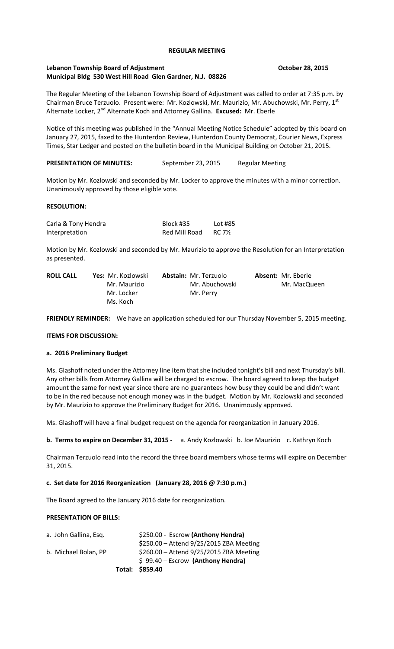### **REGULAR MEETING**

### **Lebanon Township Board of Adjustment Contained Adjustment Contained Board 28, 2015 Municipal Bldg 530 West Hill Road Glen Gardner, N.J. 08826**

The Regular Meeting of the Lebanon Township Board of Adjustment was called to order at 7:35 p.m. by Chairman Bruce Terzuolo. Present were: Mr. Kozlowski, Mr. Maurizio, Mr. Abuchowski, Mr. Perry, 1st Alternate Locker, 2nd Alternate Koch and Attorney Gallina. **Excused:** Mr. Eberle

Notice of this meeting was published in the "Annual Meeting Notice Schedule" adopted by this board on January 27, 2015, faxed to the Hunterdon Review, Hunterdon County Democrat, Courier News, Express Times, Star Ledger and posted on the bulletin board in the Municipal Building on October 21, 2015.

## **PRESENTATION OF MINUTES:** September 23, 2015 Regular Meeting

Motion by Mr. Kozlowski and seconded by Mr. Locker to approve the minutes with a minor correction. Unanimously approved by those eligible vote.

#### **RESOLUTION:**

| Carla & Tony Hendra | Block #35     | Lot #85 |
|---------------------|---------------|---------|
| Interpretation      | Red Mill Road | RC 7½   |

Motion by Mr. Kozlowski and seconded by Mr. Maurizio to approve the Resolution for an Interpretation as presented.

| <b>ROLL CALL</b> | Yes: Mr. Kozlowski | <b>Abstain: Mr. Terzuolo</b> | <b>Absent: Mr. Eberle</b> |
|------------------|--------------------|------------------------------|---------------------------|
|                  | Mr. Maurizio       | Mr. Abuchowski               | Mr. MacQueen              |
|                  | Mr. Locker         | Mr. Perry                    |                           |
|                  | Ms. Koch           |                              |                           |

**FRIENDLY REMINDER:** We have an application scheduled for our Thursday November 5, 2015 meeting.

#### **ITEMS FOR DISCUSSION:**

## **a. 2016 Preliminary Budget**

Ms. Glashoff noted under the Attorney line item that she included tonight's bill and next Thursday's bill. Any other bills from Attorney Gallina will be charged to escrow. The board agreed to keep the budget amount the same for next year since there are no guarantees how busy they could be and didn't want to be in the red because not enough money was in the budget. Motion by Mr. Kozlowski and seconded by Mr. Maurizio to approve the Preliminary Budget for 2016. Unanimously approved.

Ms. Glashoff will have a final budget request on the agenda for reorganization in January 2016.

**b. Terms to expire on December 31, 2015 -** a. Andy Kozlowski b. Joe Maurizio c. Kathryn Koch

Chairman Terzuolo read into the record the three board members whose terms will expire on December 31, 2015.

## **c. Set date for 2016 Reorganization (January 28, 2016 @ 7:30 p.m.)**

The Board agreed to the January 2016 date for reorganization.

#### **PRESENTATION OF BILLS:**

|                       | Total: \$859.40                          |
|-----------------------|------------------------------------------|
|                       | $$99.40 - Escrow$ (Anthony Hendra)       |
| b. Michael Bolan, PP  | \$260.00 - Attend 9/25/2015 ZBA Meeting  |
|                       | $$250.00 -$ Attend 9/25/2015 ZBA Meeting |
| a. John Gallina, Esq. | \$250.00 - Escrow (Anthony Hendra)       |